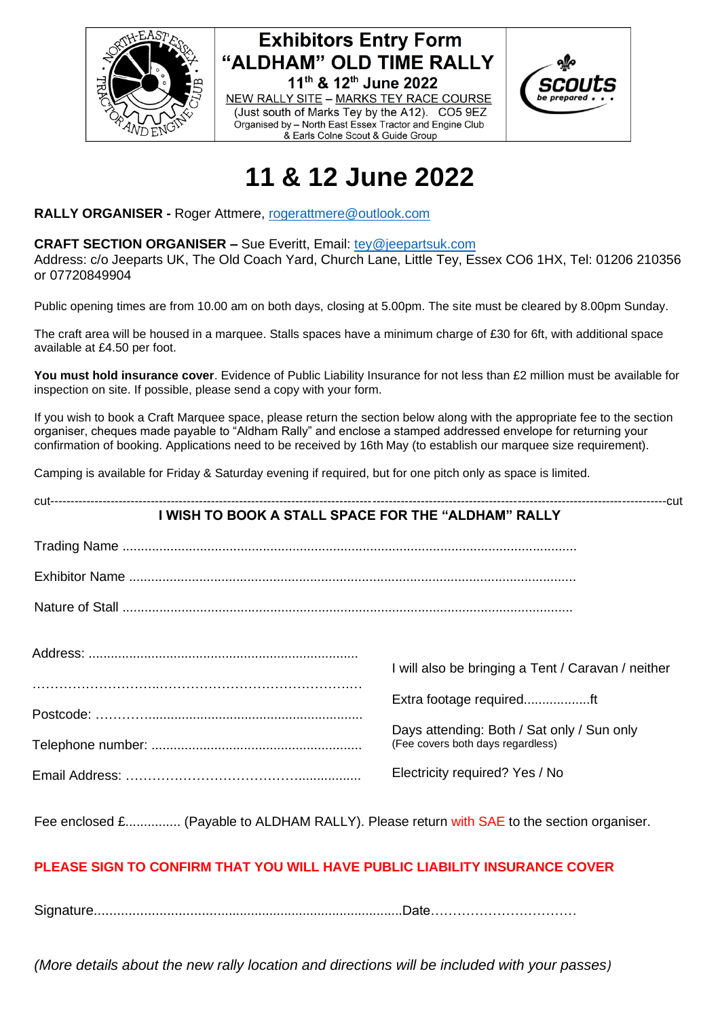





# **11 & 12 June 2022**

**RALLY ORGANISER -** Roger Attmere, [rogerattmere@outlook.com](mailto:rogerattmere@outlook.com)

#### **CRAFT SECTION ORGANISER –** Sue Everitt, Email: [tey@jeepartsuk.com](mailto:tey@jeepartsuk.com)

Address: c/o Jeeparts UK, The Old Coach Yard, Church Lane, Little Tey, Essex CO6 1HX, Tel: 01206 210356 or 07720849904

Public opening times are from 10.00 am on both days, closing at 5.00pm. The site must be cleared by 8.00pm Sunday.

The craft area will be housed in a marquee. Stalls spaces have a minimum charge of £30 for 6ft, with additional space available at £4.50 per foot.

**You must hold insurance cover**. Evidence of Public Liability Insurance for not less than £2 million must be available for inspection on site. If possible, please send a copy with your form.

If you wish to book a Craft Marquee space, please return the section below along with the appropriate fee to the section organiser, cheques made payable to "Aldham Rally" and enclose a stamped addressed envelope for returning your confirmation of booking. Applications need to be received by 16th May (to establish our marquee size requirement).

Camping is available for Friday & Saturday evening if required, but for one pitch only as space is limited.

# cut---------------------------------------------------------------------------------------------------------------------------------------------------------cut **I WISH TO BOOK A STALL SPACE FOR THE "ALDHAM" RALLY** Trading Name ........................................................................................................................... Exhibitor Name ......................................................................................................................... Nature of Stall .......................................................................................................................... Address: ......................................................................... ………………………..…………………………………….… Postcode: ………….......................................................... Telephone number: ......................................................... Email Address: …………………………………................. I will also be bringing a Tent / Caravan / neither Extra footage required..................ft Days attending: Both / Sat only / Sun only (Fee covers both days regardless) Electricity required? Yes / No

Fee enclosed £................ (Payable to ALDHAM RALLY). Please return with SAE to the section organiser.

# **PLEASE SIGN TO CONFIRM THAT YOU WILL HAVE PUBLIC LIABILITY INSURANCE COVER**

Signature..................................................................................Date……………………………

*(More details about the new rally location and directions will be included with your passes)*